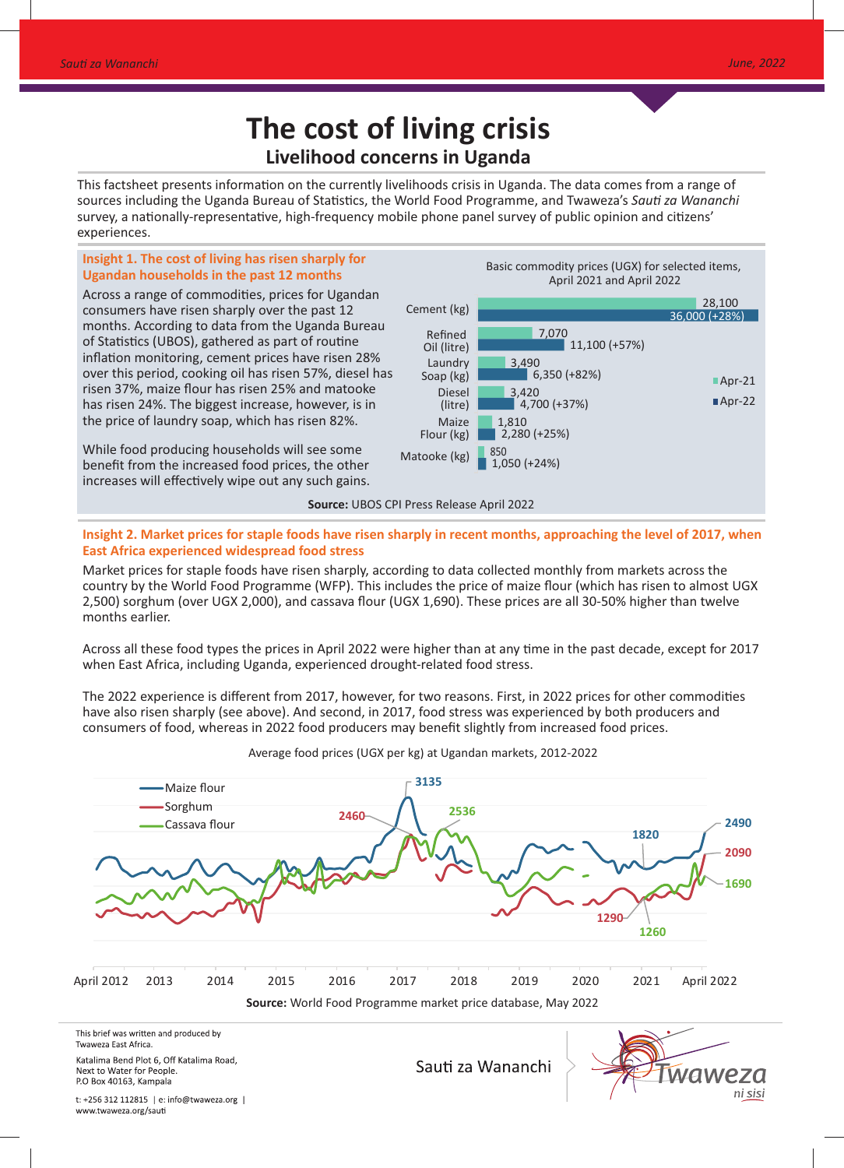# **The cost of living crisis Livelihood concerns in Uganda**

This factsheet presents information on the currently livelihoods crisis in Uganda. The data comes from a range of sources including the Uganda Bureau of Statistics, the World Food Programme, and Twaweza's Sauti za Wananchi survey, a nationally-representative, high-frequency mobile phone panel survey of public opinion and citizens' experiences.

# **Insight 1. The cost of living has risen sharply for Ugandan households in the past 12 months**

Across a range of commodities, prices for Ugandan consumers have risen sharply over the past 12 months. According to data from the Uganda Bureau of Statistics (UBOS), gathered as part of routine inflation monitoring, cement prices have risen 28% over this period, cooking oil has risen 57%, diesel has risen 37%, maize flour has risen 25% and matooke has risen 24%. The biggest increase, however, is in the price of laundry soap, which has risen 82%.

While food producing households will see some benefit from the increased food prices, the other increases will effectively wipe out any such gains. Basic commodity prices (UGX) for selected items, April 2021 and April 2022



**Insight 2. Market prices for staple foods have risen sharply in recent months, approaching the level of 2017, when East Africa experienced widespread food stress**

Market prices for staple foods have risen sharply, according to data collected monthly from markets across the country by the World Food Programme (WFP). This includes the price of maize flour (which has risen to almost UGX 2,500) sorghum (over UGX 2,000), and cassava flour (UGX 1,690). These prices are all 30-50% higher than twelve months earlier.

Across all these food types the prices in April 2022 were higher than at any time in the past decade, except for 2017 when East Africa, including Uganda, experienced drought-related food stress.

The 2022 experience is different from 2017, however, for two reasons. First, in 2022 prices for other commodities have also risen sharply (see above). And second, in 2017, food stress was experienced by both producers and consumers of food, whereas in 2022 food producers may benefit slightly from increased food prices.



Average food prices (UGX per kg) at Ugandan markets, 2012-2022